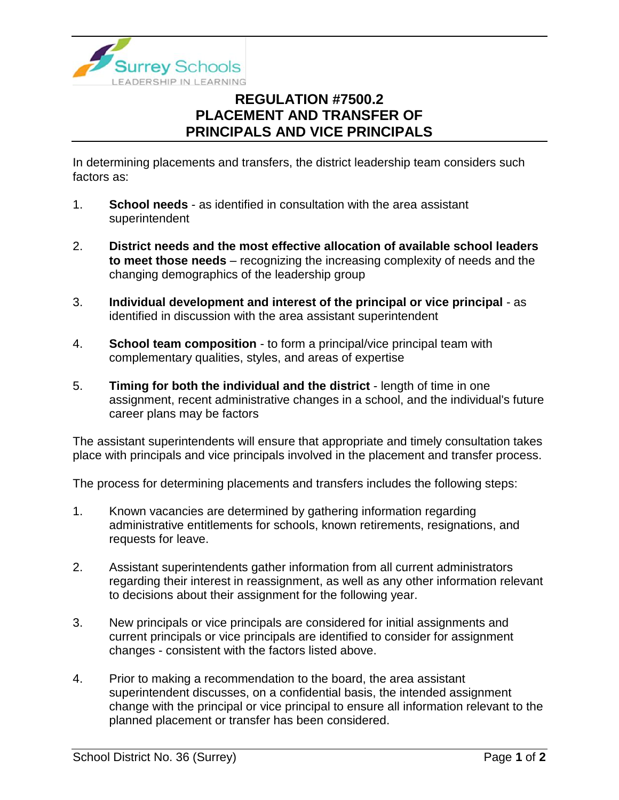

## **REGULATION #7500.2 PLACEMENT AND TRANSFER OF PRINCIPALS AND VICE PRINCIPALS**

In determining placements and transfers, the district leadership team considers such factors as:

- 1. **School needs** as identified in consultation with the area assistant superintendent
- 2. **District needs and the most effective allocation of available school leaders to meet those needs** – recognizing the increasing complexity of needs and the changing demographics of the leadership group
- 3. **Individual development and interest of the principal or vice principal**  as identified in discussion with the area assistant superintendent
- 4. **School team composition** to form a principal/vice principal team with complementary qualities, styles, and areas of expertise
- 5. **Timing for both the individual and the district** length of time in one assignment, recent administrative changes in a school, and the individual's future career plans may be factors

The assistant superintendents will ensure that appropriate and timely consultation takes place with principals and vice principals involved in the placement and transfer process.

The process for determining placements and transfers includes the following steps:

- 1. Known vacancies are determined by gathering information regarding administrative entitlements for schools, known retirements, resignations, and requests for leave.
- 2. Assistant superintendents gather information from all current administrators regarding their interest in reassignment, as well as any other information relevant to decisions about their assignment for the following year.
- 3. New principals or vice principals are considered for initial assignments and current principals or vice principals are identified to consider for assignment changes - consistent with the factors listed above.
- 4. Prior to making a recommendation to the board, the area assistant superintendent discusses, on a confidential basis, the intended assignment change with the principal or vice principal to ensure all information relevant to the planned placement or transfer has been considered.